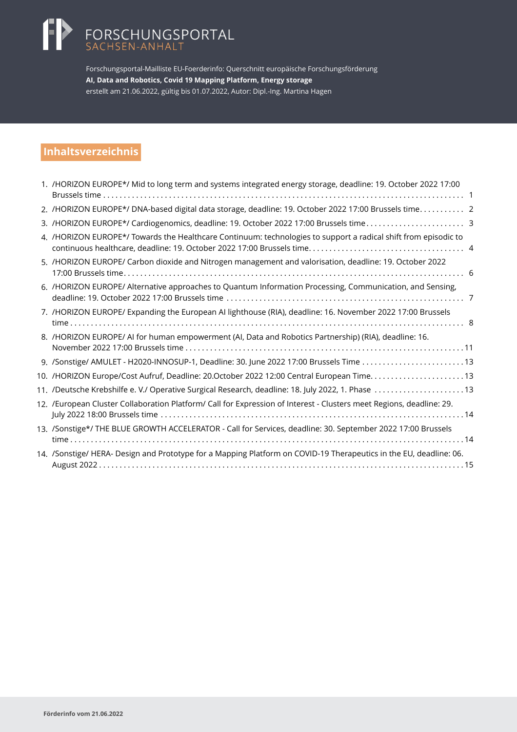# FORSCHUNGSPORTAL<br>SACHSEN-ANHALT

Forschungsportal-Mailliste EU-Foerderinfo: Querschnitt europäische Forschungsförderung **AI, Data and Robotics, Covid 19 Mapping Platform, Energy storage** erstellt am 21.06.2022, gültig bis 01.07.2022, Autor: Dipl.-Ing. Martina Hagen

# **Inhaltsverzeichnis**

| 1. /HORIZON EUROPE*/ Mid to long term and systems integrated energy storage, deadline: 19. October 2022 17:00        |  |
|----------------------------------------------------------------------------------------------------------------------|--|
| 2. /HORIZON EUROPE*/ DNA-based digital data storage, deadline: 19. October 2022 17:00 Brussels time 2                |  |
|                                                                                                                      |  |
| 4. /HORIZON EUROPE*/ Towards the Healthcare Continuum: technologies to support a radical shift from episodic to      |  |
| 5. /HORIZON EUROPE/ Carbon dioxide and Nitrogen management and valorisation, deadline: 19. October 2022              |  |
| 6. /HORIZON EUROPE/ Alternative approaches to Quantum Information Processing, Communication, and Sensing,            |  |
| 7. /HORIZON EUROPE/ Expanding the European AI lighthouse (RIA), deadline: 16. November 2022 17:00 Brussels           |  |
| 8. /HORIZON EUROPE/ AI for human empowerment (AI, Data and Robotics Partnership) (RIA), deadline: 16.                |  |
|                                                                                                                      |  |
| 10. /HORIZON Europe/Cost Aufruf, Deadline: 20.October 2022 12:00 Central European Time13                             |  |
| 11. /Deutsche Krebshilfe e. V./ Operative Surgical Research, deadline: 18. July 2022, 1. Phase 13                    |  |
| 12. /European Cluster Collaboration Platform/ Call for Expression of Interest - Clusters meet Regions, deadline: 29. |  |
| 13. /Sonstige*/ THE BLUE GROWTH ACCELERATOR - Call for Services, deadline: 30. September 2022 17:00 Brussels         |  |
| 14. /Sonstige/ HERA- Design and Prototype for a Mapping Platform on COVID-19 Therapeutics in the EU, deadline: 06.   |  |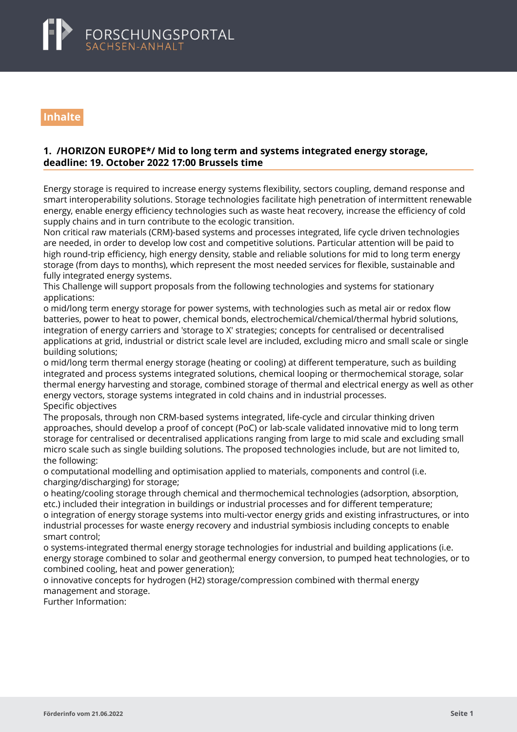<span id="page-1-0"></span>

# **Inhalte**

### **1. /HORIZON EUROPE\*/ Mid to long term and systems integrated energy storage, deadline: 19. October 2022 17:00 Brussels time**

Energy storage is required to increase energy systems flexibility, sectors coupling, demand response and smart interoperability solutions. Storage technologies facilitate high penetration of intermittent renewable energy, enable energy efficiency technologies such as waste heat recovery, increase the efficiency of cold supply chains and in turn contribute to the ecologic transition.

Non critical raw materials (CRM)-based systems and processes integrated, life cycle driven technologies are needed, in order to develop low cost and competitive solutions. Particular attention will be paid to high round-trip efficiency, high energy density, stable and reliable solutions for mid to long term energy storage (from days to months), which represent the most needed services for flexible, sustainable and fully integrated energy systems.

This Challenge will support proposals from the following technologies and systems for stationary applications:

o mid/long term energy storage for power systems, with technologies such as metal air or redox flow batteries, power to heat to power, chemical bonds, electrochemical/chemical/thermal hybrid solutions, integration of energy carriers and 'storage to X' strategies; concepts for centralised or decentralised applications at grid, industrial or district scale level are included, excluding micro and small scale or single building solutions;

o mid/long term thermal energy storage (heating or cooling) at different temperature, such as building integrated and process systems integrated solutions, chemical looping or thermochemical storage, solar thermal energy harvesting and storage, combined storage of thermal and electrical energy as well as other energy vectors, storage systems integrated in cold chains and in industrial processes. Specific objectives

The proposals, through non CRM-based systems integrated, life-cycle and circular thinking driven approaches, should develop a proof of concept (PoC) or lab-scale validated innovative mid to long term storage for centralised or decentralised applications ranging from large to mid scale and excluding small micro scale such as single building solutions. The proposed technologies include, but are not limited to, the following:

o computational modelling and optimisation applied to materials, components and control (i.e. charging/discharging) for storage;

o heating/cooling storage through chemical and thermochemical technologies (adsorption, absorption, etc.) included their integration in buildings or industrial processes and for different temperature; o integration of energy storage systems into multi-vector energy grids and existing infrastructures, or into industrial processes for waste energy recovery and industrial symbiosis including concepts to enable smart control;

o systems-integrated thermal energy storage technologies for industrial and building applications (i.e. energy storage combined to solar and geothermal energy conversion, to pumped heat technologies, or to combined cooling, heat and power generation);

o innovative concepts for hydrogen (H2) storage/compression combined with thermal energy management and storage.

Further Information: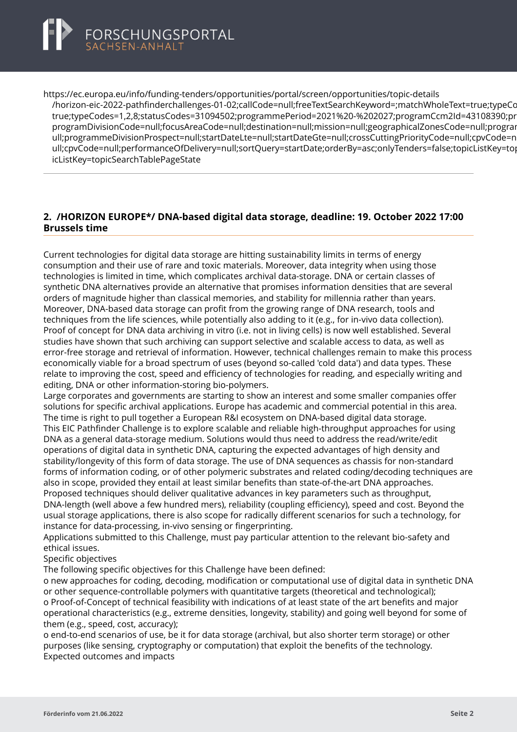<span id="page-2-0"></span>

https://ec.europa.eu/info/funding-tenders/opportunities/portal/screen/opportunities/topic-details [/horizon-eic-2022-pathfinderchallenges-01-02;callCode=null;freeTextSearchKeyword=;matchWholeText=tr](https://ec.europa.eu/info/funding-tenders/opportunities/portal/screen/opportunities/topic-details/horizon-eic-2022-pathfinderchallenges-01-02;callCode=null;freeTextSearchKeyword=;matchWholeText=true;typeCodes=1,2,8;statusCodes=31094502;programmePeriod=2021%20-%202027;programCcm2Id=43108390;programDivisionCode=null;focusAreaCode=null;destination=null;mission=null;geographicalZonesCode=null;programmeDivisionProspect=null;startDateLte=null;startDateGte=null;crossCuttingPriorityCode=null;cpvCode=null;performanceOfDelivery=null;sortQuery=startDate;orderBy=asc;onlyTenders=false;topicListKey=topicSearchTablePageState)ue;typeCc true;typeCodes=1,2,8;statusCodes=31094502;programmePeriod=2021%20-%202027;programCcm2Id=43108390;pr programDivisionCode=null:focusAreaCode=null:destination=null:mission=null:geographicalZonesCode=null:prograp ull;programmeDivisionProspect=null;startDateLte=null;startDateGte=null;crossCuttingPriorityCode=null;cpvCode=n ull;cpvCode=null;performanceOfDelivery=null;sortQuery=startDate;orderBy=asc;onlyTenders=false;topicListKey=top icListKey=topicSearchTablePageState

## **2. /HORIZON EUROPE\*/ DNA-based digital data storage, deadline: 19. October 2022 17:00 Brussels time**

Current technologies for digital data storage are hitting sustainability limits in terms of energy consumption and their use of rare and toxic materials. Moreover, data integrity when using those technologies is limited in time, which complicates archival data-storage. DNA or certain classes of synthetic DNA alternatives provide an alternative that promises information densities that are several orders of magnitude higher than classical memories, and stability for millennia rather than years. Moreover, DNA-based data storage can profit from the growing range of DNA research, tools and techniques from the life sciences, while potentially also adding to it (e.g., for in-vivo data collection). Proof of concept for DNA data archiving in vitro (i.e. not in living cells) is now well established. Several studies have shown that such archiving can support selective and scalable access to data, as well as error-free storage and retrieval of information. However, technical challenges remain to make this process economically viable for a broad spectrum of uses (beyond so-called 'cold data') and data types. These relate to improving the cost, speed and efficiency of technologies for reading, and especially writing and editing, DNA or other information-storing bio-polymers.

Large corporates and governments are starting to show an interest and some smaller companies offer solutions for specific archival applications. Europe has academic and commercial potential in this area. The time is right to pull together a European R&I ecosystem on DNA-based digital data storage. This EIC Pathfinder Challenge is to explore scalable and reliable high-throughput approaches for using DNA as a general data-storage medium. Solutions would thus need to address the read/write/edit operations of digital data in synthetic DNA, capturing the expected advantages of high density and stability/longevity of this form of data storage. The use of DNA sequences as chassis for non-standard forms of information coding, or of other polymeric substrates and related coding/decoding techniques are also in scope, provided they entail at least similar benefits than state-of-the-art DNA approaches. Proposed techniques should deliver qualitative advances in key parameters such as throughput, DNA-length (well above a few hundred mers), reliability (coupling efficiency), speed and cost. Beyond the usual storage applications, there is also scope for radically different scenarios for such a technology, for instance for data-processing, in-vivo sensing or fingerprinting.

Applications submitted to this Challenge, must pay particular attention to the relevant bio-safety and ethical issues.

Specific objectives

The following specific objectives for this Challenge have been defined:

o new approaches for coding, decoding, modification or computational use of digital data in synthetic DNA or other sequence-controllable polymers with quantitative targets (theoretical and technological); o Proof-of-Concept of technical feasibility with indications of at least state of the art benefits and major operational characteristics (e.g., extreme densities, longevity, stability) and going well beyond for some of them (e.g., speed, cost, accuracy);

o end-to-end scenarios of use, be it for data storage (archival, but also shorter term storage) or other purposes (like sensing, cryptography or computation) that exploit the benefits of the technology. Expected outcomes and impacts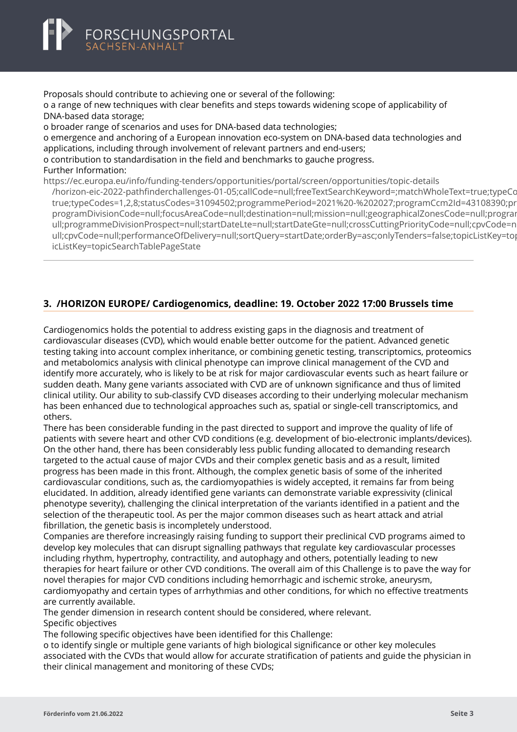<span id="page-3-0"></span>

Proposals should contribute to achieving one or several of the following: o a range of new techniques with clear benefits and steps towards widening scope of applicability of DNA-based data storage; o broader range of scenarios and uses for DNA-based data technologies; o emergence and anchoring of a European innovation eco-system on DNA-based data technologies and

applications, including through involvement of relevant partners and end-users; o contribution to standardisation in the field and benchmarks to gauche progress.

#### Further Information:

https://ec.europa.eu/info/funding-tenders/opportunities/portal/screen/opportunities/topic-details

[/horizon-eic-2022-pathfinderchallenges-01-05;callCode=null;freeTextSearchKeyword=;matchWholeText=tr](https://ec.europa.eu/info/funding-tenders/opportunities/portal/screen/opportunities/topic-details/horizon-eic-2022-pathfinderchallenges-01-05;callCode=null;freeTextSearchKeyword=;matchWholeText=true;typeCodes=1,2,8;statusCodes=31094502;programmePeriod=2021%20-%202027;programCcm2Id=43108390;programDivisionCode=null;focusAreaCode=null;destination=null;mission=null;geographicalZonesCode=null;programmeDivisionProspect=null;startDateLte=null;startDateGte=null;crossCuttingPriorityCode=null;cpvCode=null;performanceOfDelivery=null;sortQuery=startDate;orderBy=asc;onlyTenders=false;topicListKey=topicSearchTablePageState)ue;typeCodes=1,2,8;statusCodes=31094502;programmePeriod=2021%20-%202027;programCcm2Id=43108390; true;typeCodes=1,2,8;statusCodes=31094502;programmePeriod=2021%20-%202027;programCcm2ld=43108390;pr programDivisionCode=null;focusAreaCode=null;destination=null;mission=null;geographicalZonesCode=null;progran ull:programmeDivisionProspect=null:startDateLte=null:startDateGte=null:crossCuttingPriorityCode=null:cpyCode=n ull;cpvCode=null;performanceOfDelivery=null;sortQuery=startDate;orderBy=asc;onlyTenders=false;topicListKey=top icListKey=topicSearchTablePageState

# **3. /HORIZON EUROPE/ Cardiogenomics, deadline: 19. October 2022 17:00 Brussels time**

Cardiogenomics holds the potential to address existing gaps in the diagnosis and treatment of cardiovascular diseases (CVD), which would enable better outcome for the patient. Advanced genetic testing taking into account complex inheritance, or combining genetic testing, transcriptomics, proteomics and metabolomics analysis with clinical phenotype can improve clinical management of the CVD and identify more accurately, who is likely to be at risk for major cardiovascular events such as heart failure or sudden death. Many gene variants associated with CVD are of unknown significance and thus of limited clinical utility. Our ability to sub-classify CVD diseases according to their underlying molecular mechanism has been enhanced due to technological approaches such as, spatial or single-cell transcriptomics, and others.

There has been considerable funding in the past directed to support and improve the quality of life of patients with severe heart and other CVD conditions (e.g. development of bio-electronic implants/devices). On the other hand, there has been considerably less public funding allocated to demanding research targeted to the actual cause of major CVDs and their complex genetic basis and as a result, limited progress has been made in this front. Although, the complex genetic basis of some of the inherited cardiovascular conditions, such as, the cardiomyopathies is widely accepted, it remains far from being elucidated. In addition, already identified gene variants can demonstrate variable expressivity (clinical phenotype severity), challenging the clinical interpretation of the variants identified in a patient and the selection of the therapeutic tool. As per the major common diseases such as heart attack and atrial fibrillation, the genetic basis is incompletely understood.

Companies are therefore increasingly raising funding to support their preclinical CVD programs aimed to develop key molecules that can disrupt signalling pathways that regulate key cardiovascular processes including rhythm, hypertrophy, contractility, and autophagy and others, potentially leading to new therapies for heart failure or other CVD conditions. The overall aim of this Challenge is to pave the way for novel therapies for major CVD conditions including hemorrhagic and ischemic stroke, aneurysm, cardiomyopathy and certain types of arrhythmias and other conditions, for which no effective treatments are currently available.

The gender dimension in research content should be considered, where relevant. Specific objectives

The following specific objectives have been identified for this Challenge:

o to identify single or multiple gene variants of high biological significance or other key molecules associated with the CVDs that would allow for accurate stratification of patients and guide the physician in their clinical management and monitoring of these CVDs;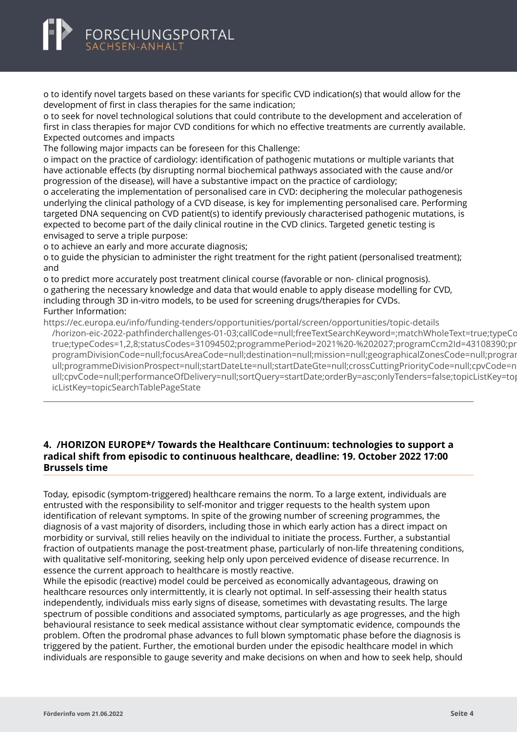# <span id="page-4-0"></span>FORSCHUNGSPORTAL

o to identify novel targets based on these variants for specific CVD indication(s) that would allow for the development of first in class therapies for the same indication;

o to seek for novel technological solutions that could contribute to the development and acceleration of first in class therapies for major CVD conditions for which no effective treatments are currently available. Expected outcomes and impacts

The following major impacts can be foreseen for this Challenge:

o impact on the practice of cardiology: identification of pathogenic mutations or multiple variants that have actionable effects (by disrupting normal biochemical pathways associated with the cause and/or progression of the disease), will have a substantive impact on the practice of cardiology;

o accelerating the implementation of personalised care in CVD: deciphering the molecular pathogenesis underlying the clinical pathology of a CVD disease, is key for implementing personalised care. Performing targeted DNA sequencing on CVD patient(s) to identify previously characterised pathogenic mutations, is expected to become part of the daily clinical routine in the CVD clinics. Targeted genetic testing is envisaged to serve a triple purpose:

o to achieve an early and more accurate diagnosis;

o to guide the physician to administer the right treatment for the right patient (personalised treatment); and

o to predict more accurately post treatment clinical course (favorable or non- clinical prognosis). o gathering the necessary knowledge and data that would enable to apply disease modelling for CVD, including through 3D in-vitro models, to be used for screening drugs/therapies for CVDs. Further Information:

https://ec.europa.eu/info/funding-tenders/opportunities/portal/screen/opportunities/topic-details [/horizon-eic-2022-pathfinderchallenges-01-03;callCode=null;freeTextSearchKeyword=;matchWholeText=tr](https://ec.europa.eu/info/funding-tenders/opportunities/portal/screen/opportunities/topic-details/horizon-eic-2022-pathfinderchallenges-01-03;callCode=null;freeTextSearchKeyword=;matchWholeText=true;typeCodes=1,2,8;statusCodes=31094502;programmePeriod=2021%20-%202027;programCcm2Id=43108390;programDivisionCode=null;focusAreaCode=null;destination=null;mission=null;geographicalZonesCode=null;programmeDivisionProspect=null;startDateLte=null;startDateGte=null;crossCuttingPriorityCode=null;cpvCode=null;performanceOfDelivery=null;sortQuery=startDate;orderBy=asc;onlyTenders=false;topicListKey=topicSearchTablePageState)ue;typeCc true;typeCodes=1,2,8;statusCodes=31094502;programmePeriod=2021%20-%202027;programCcm2ld=43108390;pr programDivisionCode=null;focusAreaCode=null;destination=null;mission=null;geographicalZonesCode=null;prograr ull;programmeDivisionProspect=null;startDateLte=null;startDateGte=null;crossCuttingPriorityCode=null;cpvCode=n ull;cpvCode=null;performanceOfDelivery=null;sortQuery=startDate;orderBy=asc;onlyTenders=false;topicListKey=top icListKey=topicSearchTablePageState

## **4. /HORIZON EUROPE\*/ Towards the Healthcare Continuum: technologies to support a radical shift from episodic to continuous healthcare, deadline: 19. October 2022 17:00 Brussels time**

Today, episodic (symptom-triggered) healthcare remains the norm. To a large extent, individuals are entrusted with the responsibility to self-monitor and trigger requests to the health system upon identification of relevant symptoms. In spite of the growing number of screening programmes, the diagnosis of a vast majority of disorders, including those in which early action has a direct impact on morbidity or survival, still relies heavily on the individual to initiate the process. Further, a substantial fraction of outpatients manage the post-treatment phase, particularly of non-life threatening conditions, with qualitative self-monitoring, seeking help only upon perceived evidence of disease recurrence. In essence the current approach to healthcare is mostly reactive.

While the episodic (reactive) model could be perceived as economically advantageous, drawing on healthcare resources only intermittently, it is clearly not optimal. In self-assessing their health status independently, individuals miss early signs of disease, sometimes with devastating results. The large spectrum of possible conditions and associated symptoms, particularly as age progresses, and the high behavioural resistance to seek medical assistance without clear symptomatic evidence, compounds the problem. Often the prodromal phase advances to full blown symptomatic phase before the diagnosis is triggered by the patient. Further, the emotional burden under the episodic healthcare model in which individuals are responsible to gauge severity and make decisions on when and how to seek help, should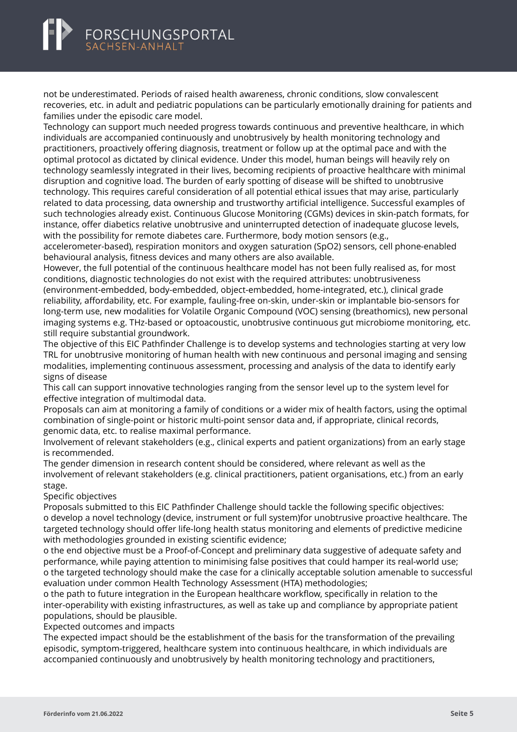

not be underestimated. Periods of raised health awareness, chronic conditions, slow convalescent recoveries, etc. in adult and pediatric populations can be particularly emotionally draining for patients and families under the episodic care model.

Technology can support much needed progress towards continuous and preventive healthcare, in which individuals are accompanied continuously and unobtrusively by health monitoring technology and practitioners, proactively offering diagnosis, treatment or follow up at the optimal pace and with the optimal protocol as dictated by clinical evidence. Under this model, human beings will heavily rely on technology seamlessly integrated in their lives, becoming recipients of proactive healthcare with minimal disruption and cognitive load. The burden of early spotting of disease will be shifted to unobtrusive technology. This requires careful consideration of all potential ethical issues that may arise, particularly related to data processing, data ownership and trustworthy artificial intelligence. Successful examples of such technologies already exist. Continuous Glucose Monitoring (CGMs) devices in skin-patch formats, for instance, offer diabetics relative unobtrusive and uninterrupted detection of inadequate glucose levels, with the possibility for remote diabetes care. Furthermore, body motion sensors (e.g.,

accelerometer-based), respiration monitors and oxygen saturation (SpO2) sensors, cell phone-enabled behavioural analysis, fitness devices and many others are also available.

However, the full potential of the continuous healthcare model has not been fully realised as, for most conditions, diagnostic technologies do not exist with the required attributes: unobtrusiveness (environment-embedded, body-embedded, object-embedded, home-integrated, etc.), clinical grade reliability, affordability, etc. For example, fauling-free on-skin, under-skin or implantable bio-sensors for long-term use, new modalities for Volatile Organic Compound (VOC) sensing (breathomics), new personal imaging systems e.g. THz-based or optoacoustic, unobtrusive continuous gut microbiome monitoring, etc. still require substantial groundwork.

The objective of this EIC Pathfinder Challenge is to develop systems and technologies starting at very low TRL for unobtrusive monitoring of human health with new continuous and personal imaging and sensing modalities, implementing continuous assessment, processing and analysis of the data to identify early signs of disease

This call can support innovative technologies ranging from the sensor level up to the system level for effective integration of multimodal data.

Proposals can aim at monitoring a family of conditions or a wider mix of health factors, using the optimal combination of single-point or historic multi-point sensor data and, if appropriate, clinical records, genomic data, etc. to realise maximal performance.

Involvement of relevant stakeholders (e.g., clinical experts and patient organizations) from an early stage is recommended.

The gender dimension in research content should be considered, where relevant as well as the involvement of relevant stakeholders (e.g. clinical practitioners, patient organisations, etc.) from an early stage.

#### Specific objectives

Proposals submitted to this EIC Pathfinder Challenge should tackle the following specific objectives: o develop a novel technology (device, instrument or full system)for unobtrusive proactive healthcare. The targeted technology should offer life-long health status monitoring and elements of predictive medicine with methodologies grounded in existing scientific evidence;

o the end objective must be a Proof-of-Concept and preliminary data suggestive of adequate safety and performance, while paying attention to minimising false positives that could hamper its real-world use; o the targeted technology should make the case for a clinically acceptable solution amenable to successful evaluation under common Health Technology Assessment (HTA) methodologies;

o the path to future integration in the European healthcare workflow, specifically in relation to the inter-operability with existing infrastructures, as well as take up and compliance by appropriate patient populations, should be plausible.

Expected outcomes and impacts

The expected impact should be the establishment of the basis for the transformation of the prevailing episodic, symptom-triggered, healthcare system into continuous healthcare, in which individuals are accompanied continuously and unobtrusively by health monitoring technology and practitioners,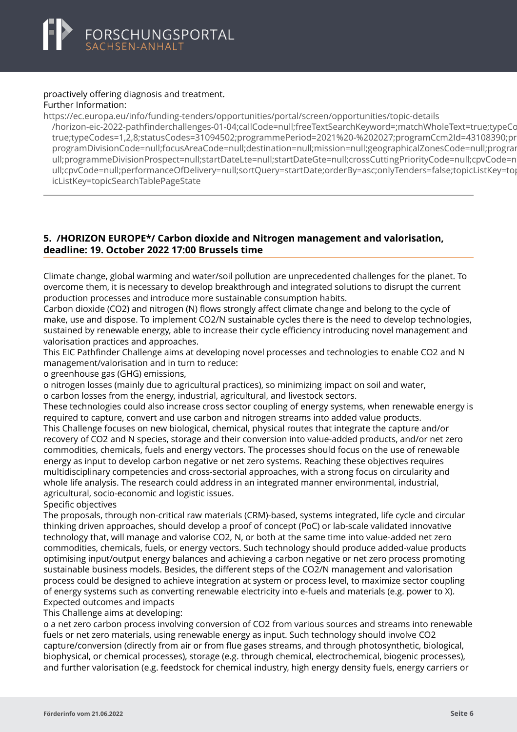#### <span id="page-6-0"></span>proactively offering diagnosis and treatment. Further Information:

https://ec.europa.eu/info/funding-tenders/opportunities/portal/screen/opportunities/topic-details [/horizon-eic-2022-pathfinderchallenges-01-04;callCode=null;freeTextSearchKeyword=;matchWholeText=tr](https://ec.europa.eu/info/funding-tenders/opportunities/portal/screen/opportunities/topic-details/horizon-eic-2022-pathfinderchallenges-01-04;callCode=null;freeTextSearchKeyword=;matchWholeText=true;typeCodes=1,2,8;statusCodes=31094502;programmePeriod=2021%20-%202027;programCcm2Id=43108390;programDivisionCode=null;focusAreaCode=null;destination=null;mission=null;geographicalZonesCode=null;programmeDivisionProspect=null;startDateLte=null;startDateGte=null;crossCuttingPriorityCode=null;cpvCode=null;performanceOfDelivery=null;sortQuery=startDate;orderBy=asc;onlyTenders=false;topicListKey=topicSearchTablePageState)ue;typeCodes=1,2,8;statusCodes=31094502;programmePeriod=2021%20-%202027;programCcm2Id=43108390; true;typeCodes=1,2,8;statusCodes=31094502;programmePeriod=2021%20-%202027;programCcm2ld=43108390;pr programDivisionCode=null:focusAreaCode=null:destination=null:mission=null:geographicalZonesCode=null:prograp ull:programmeDivisionProspect=null:startDateLte=null:startDateGte=null:crossCuttingPriorityCode=null:cpyCode=n ull;cpvCode=null;performanceOfDelivery=null;sortQuery=startDate;orderBy=asc;onlyTenders=false;topicListKey=top icListKey=topicSearchTablePageState

# **5. /HORIZON EUROPE\*/ Carbon dioxide and Nitrogen management and valorisation, deadline: 19. October 2022 17:00 Brussels time**

Climate change, global warming and water/soil pollution are unprecedented challenges for the planet. To overcome them, it is necessary to develop breakthrough and integrated solutions to disrupt the current production processes and introduce more sustainable consumption habits.

Carbon dioxide (CO2) and nitrogen (N) flows strongly affect climate change and belong to the cycle of make, use and dispose. To implement CO2/N sustainable cycles there is the need to develop technologies, sustained by renewable energy, able to increase their cycle efficiency introducing novel management and valorisation practices and approaches.

This EIC Pathfinder Challenge aims at developing novel processes and technologies to enable CO2 and N management/valorisation and in turn to reduce:

o greenhouse gas (GHG) emissions,

o nitrogen losses (mainly due to agricultural practices), so minimizing impact on soil and water, o carbon losses from the energy, industrial, agricultural, and livestock sectors.

These technologies could also increase cross sector coupling of energy systems, when renewable energy is required to capture, convert and use carbon and nitrogen streams into added value products. This Challenge focuses on new biological, chemical, physical routes that integrate the capture and/or recovery of CO2 and N species, storage and their conversion into value-added products, and/or net zero commodities, chemicals, fuels and energy vectors. The processes should focus on the use of renewable energy as input to develop carbon negative or net zero systems. Reaching these objectives requires multidisciplinary competencies and cross-sectorial approaches, with a strong focus on circularity and whole life analysis. The research could address in an integrated manner environmental, industrial, agricultural, socio-economic and logistic issues.

Specific objectives

The proposals, through non-critical raw materials (CRM)-based, systems integrated, life cycle and circular thinking driven approaches, should develop a proof of concept (PoC) or lab-scale validated innovative technology that, will manage and valorise CO2, N, or both at the same time into value-added net zero commodities, chemicals, fuels, or energy vectors. Such technology should produce added-value products optimising input/output energy balances and achieving a carbon negative or net zero process promoting sustainable business models. Besides, the different steps of the CO2/N management and valorisation process could be designed to achieve integration at system or process level, to maximize sector coupling of energy systems such as converting renewable electricity into e-fuels and materials (e.g. power to X). Expected outcomes and impacts

This Challenge aims at developing:

o a net zero carbon process involving conversion of CO2 from various sources and streams into renewable fuels or net zero materials, using renewable energy as input. Such technology should involve CO2 capture/conversion (directly from air or from flue gases streams, and through photosynthetic, biological, biophysical, or chemical processes), storage (e.g. through chemical, electrochemical, biogenic processes), and further valorisation (e.g. feedstock for chemical industry, high energy density fuels, energy carriers or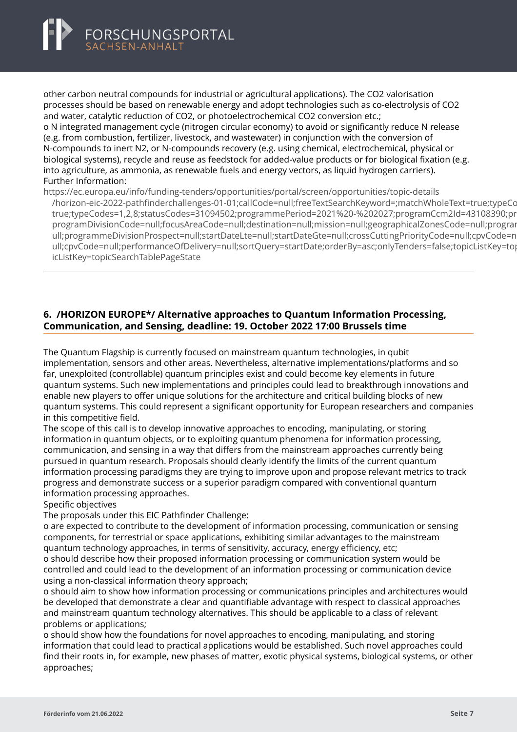<span id="page-7-0"></span>

other carbon neutral compounds for industrial or agricultural applications). The CO2 valorisation processes should be based on renewable energy and adopt technologies such as co-electrolysis of CO2 and water, catalytic reduction of CO2, or photoelectrochemical CO2 conversion etc.; o N integrated management cycle (nitrogen circular economy) to avoid or significantly reduce N release

(e.g. from combustion, fertilizer, livestock, and wastewater) in conjunction with the conversion of N-compounds to inert N2, or N-compounds recovery (e.g. using chemical, electrochemical, physical or biological systems), recycle and reuse as feedstock for added-value products or for biological fixation (e.g. into agriculture, as ammonia, as renewable fuels and energy vectors, as liquid hydrogen carriers). Further Information:

https://ec.europa.eu/info/funding-tenders/opportunities/portal/screen/opportunities/topic-details

[/horizon-eic-2022-pathfinderchallenges-01-01;callCode=null;freeTextSearchKeyword=;matchWholeText=tr](https://ec.europa.eu/info/funding-tenders/opportunities/portal/screen/opportunities/topic-details/horizon-eic-2022-pathfinderchallenges-01-01;callCode=null;freeTextSearchKeyword=;matchWholeText=true;typeCodes=1,2,8;statusCodes=31094502;programmePeriod=2021%20-%202027;programCcm2Id=43108390;programDivisionCode=null;focusAreaCode=null;destination=null;mission=null;geographicalZonesCode=null;programmeDivisionProspect=null;startDateLte=null;startDateGte=null;crossCuttingPriorityCode=null;cpvCode=null;performanceOfDelivery=null;sortQuery=startDate;orderBy=asc;onlyTenders=false;topicListKey=topicSearchTablePageState)ue;typeCodes=1,2,8;statusCodes=31094502;programmePeriod=2021%20-%202027;programCcm2Id=43108390; true;typeCodes=1,2,8;statusCodes=31094502;programmePeriod=2021%20-%202027;programCcm2ld=43108390;pr programDivisionCode=null:focusAreaCode=null:destination=null:mission=null:geographicalZonesCode=null:prograp ull;programmeDivisionProspect=null;startDateLte=null;startDateGte=null;crossCuttingPriorityCode=null;cpvCode=n ull;cpvCode=null;performanceOfDelivery=null;sortOuery=startDate;orderBy=asc;onlyTenders=false;topicListKey=top icListKey=topicSearchTablePageState

## **6. /HORIZON EUROPE\*/ Alternative approaches to Quantum Information Processing, Communication, and Sensing, deadline: 19. October 2022 17:00 Brussels time**

The Quantum Flagship is currently focused on mainstream quantum technologies, in qubit implementation, sensors and other areas. Nevertheless, alternative implementations/platforms and so far, unexploited (controllable) quantum principles exist and could become key elements in future quantum systems. Such new implementations and principles could lead to breakthrough innovations and enable new players to offer unique solutions for the architecture and critical building blocks of new quantum systems. This could represent a significant opportunity for European researchers and companies in this competitive field.

The scope of this call is to develop innovative approaches to encoding, manipulating, or storing information in quantum objects, or to exploiting quantum phenomena for information processing, communication, and sensing in a way that differs from the mainstream approaches currently being pursued in quantum research. Proposals should clearly identify the limits of the current quantum information processing paradigms they are trying to improve upon and propose relevant metrics to track progress and demonstrate success or a superior paradigm compared with conventional quantum information processing approaches.

#### Specific objectives

The proposals under this EIC Pathfinder Challenge:

o are expected to contribute to the development of information processing, communication or sensing components, for terrestrial or space applications, exhibiting similar advantages to the mainstream quantum technology approaches, in terms of sensitivity, accuracy, energy efficiency, etc;

o should describe how their proposed information processing or communication system would be controlled and could lead to the development of an information processing or communication device using a non-classical information theory approach;

o should aim to show how information processing or communications principles and architectures would be developed that demonstrate a clear and quantifiable advantage with respect to classical approaches and mainstream quantum technology alternatives. This should be applicable to a class of relevant problems or applications;

o should show how the foundations for novel approaches to encoding, manipulating, and storing information that could lead to practical applications would be established. Such novel approaches could find their roots in, for example, new phases of matter, exotic physical systems, biological systems, or other approaches;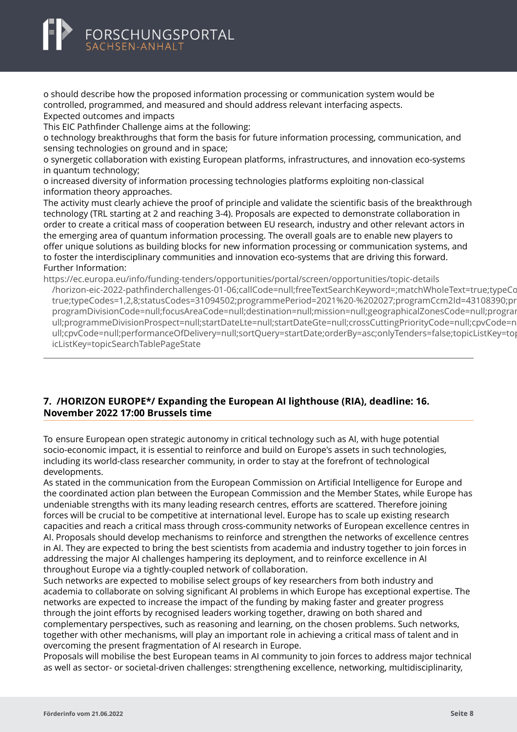<span id="page-8-0"></span>

o should describe how the proposed information processing or communication system would be controlled, programmed, and measured and should address relevant interfacing aspects. Expected outcomes and impacts

This EIC Pathfinder Challenge aims at the following:

o technology breakthroughs that form the basis for future information processing, communication, and sensing technologies on ground and in space;

o synergetic collaboration with existing European platforms, infrastructures, and innovation eco-systems in quantum technology;

o increased diversity of information processing technologies platforms exploiting non-classical information theory approaches.

The activity must clearly achieve the proof of principle and validate the scientific basis of the breakthrough technology (TRL starting at 2 and reaching 3-4). Proposals are expected to demonstrate collaboration in order to create a critical mass of cooperation between EU research, industry and other relevant actors in the emerging area of quantum information processing. The overall goals are to enable new players to offer unique solutions as building blocks for new information processing or communication systems, and to foster the interdisciplinary communities and innovation eco-systems that are driving this forward. Further Information:

https://ec.europa.eu/info/funding-tenders/opportunities/portal/screen/opportunities/topic-details [/horizon-eic-2022-pathfinderchallenges-01-06;callCode=null;freeTextSearchKeyword=;matchWholeText=tr](https://ec.europa.eu/info/funding-tenders/opportunities/portal/screen/opportunities/topic-details/horizon-eic-2022-pathfinderchallenges-01-06;callCode=null;freeTextSearchKeyword=;matchWholeText=true;typeCodes=1,2,8;statusCodes=31094502;programmePeriod=2021%20-%202027;programCcm2Id=43108390;programDivisionCode=null;focusAreaCode=null;destination=null;mission=null;geographicalZonesCode=null;programmeDivisionProspect=null;startDateLte=null;startDateGte=null;crossCuttingPriorityCode=null;cpvCode=null;performanceOfDelivery=null;sortQuery=startDate;orderBy=asc;onlyTenders=false;topicListKey=topicSearchTablePageState)ue;typeCc true;typeCodes=1,2,8;statusCodes=31094502;programmePeriod=2021%20-%202027;programCcm2ld=43108390;pr programDivisionCode=null;focusAreaCode=null;destination=null;mission=null;geographicalZonesCode=null;progran ull:programmeDivisionProspect=null:startDateLte=null:startDateGte=null:crossCuttingPriorityCode=null:cpyCode=n ull;cpvCode=null;performanceOfDelivery=null;sortQuery=startDate;orderBy=asc;onlyTenders=false;topicListKey=top icListKey=topicSearchTablePageState

# **7. /HORIZON EUROPE\*/ Expanding the European AI lighthouse (RIA), deadline: 16. November 2022 17:00 Brussels time**

To ensure European open strategic autonomy in critical technology such as AI, with huge potential socio-economic impact, it is essential to reinforce and build on Europe's assets in such technologies, including its world-class researcher community, in order to stay at the forefront of technological developments.

As stated in the communication from the European Commission on Artificial Intelligence for Europe and the coordinated action plan between the European Commission and the Member States, while Europe has undeniable strengths with its many leading research centres, efforts are scattered. Therefore joining forces will be crucial to be competitive at international level. Europe has to scale up existing research capacities and reach a critical mass through cross-community networks of European excellence centres in AI. Proposals should develop mechanisms to reinforce and strengthen the networks of excellence centres in AI. They are expected to bring the best scientists from academia and industry together to join forces in addressing the major AI challenges hampering its deployment, and to reinforce excellence in AI throughout Europe via a tightly-coupled network of collaboration.

Such networks are expected to mobilise select groups of key researchers from both industry and academia to collaborate on solving significant AI problems in which Europe has exceptional expertise. The networks are expected to increase the impact of the funding by making faster and greater progress through the joint efforts by recognised leaders working together, drawing on both shared and complementary perspectives, such as reasoning and learning, on the chosen problems. Such networks, together with other mechanisms, will play an important role in achieving a critical mass of talent and in overcoming the present fragmentation of AI research in Europe.

Proposals will mobilise the best European teams in AI community to join forces to address major technical as well as sector- or societal-driven challenges: strengthening excellence, networking, multidisciplinarity,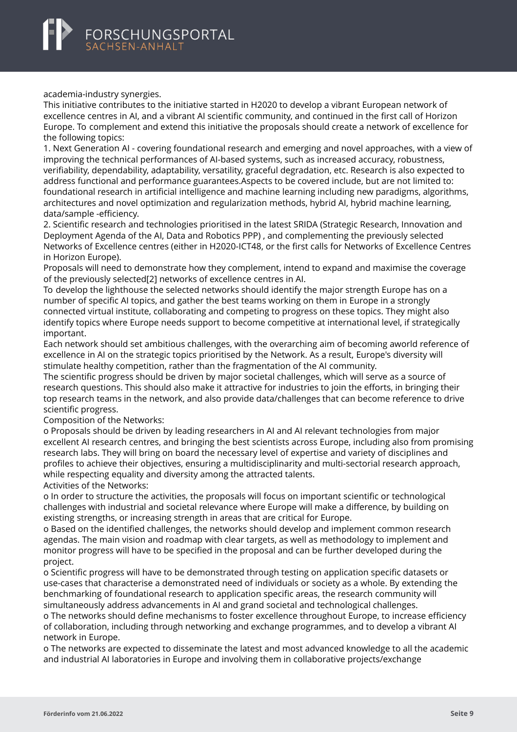academia-industry synergies.

This initiative contributes to the initiative started in H2020 to develop a vibrant European network of excellence centres in AI, and a vibrant AI scientific community, and continued in the first call of Horizon Europe. To complement and extend this initiative the proposals should create a network of excellence for the following topics:

1. Next Generation AI - covering foundational research and emerging and novel approaches, with a view of improving the technical performances of AI-based systems, such as increased accuracy, robustness, verifiability, dependability, adaptability, versatility, graceful degradation, etc. Research is also expected to address functional and performance guarantees.Aspects to be covered include, but are not limited to: foundational research in artificial intelligence and machine learning including new paradigms, algorithms, architectures and novel optimization and regularization methods, hybrid AI, hybrid machine learning, data/sample -efficiency.

2. Scientific research and technologies prioritised in the latest SRIDA (Strategic Research, Innovation and Deployment Agenda of the AI, Data and Robotics PPP) , and complementing the previously selected Networks of Excellence centres (either in H2020-ICT48, or the first calls for Networks of Excellence Centres in Horizon Europe).

Proposals will need to demonstrate how they complement, intend to expand and maximise the coverage of the previously selected[2] networks of excellence centres in AI.

To develop the lighthouse the selected networks should identify the major strength Europe has on a number of specific AI topics, and gather the best teams working on them in Europe in a strongly connected virtual institute, collaborating and competing to progress on these topics. They might also identify topics where Europe needs support to become competitive at international level, if strategically important.

Each network should set ambitious challenges, with the overarching aim of becoming aworld reference of excellence in AI on the strategic topics prioritised by the Network. As a result, Europe's diversity will stimulate healthy competition, rather than the fragmentation of the AI community.

The scientific progress should be driven by major societal challenges, which will serve as a source of research questions. This should also make it attractive for industries to join the efforts, in bringing their top research teams in the network, and also provide data/challenges that can become reference to drive scientific progress.

Composition of the Networks:

o Proposals should be driven by leading researchers in AI and AI relevant technologies from major excellent AI research centres, and bringing the best scientists across Europe, including also from promising research labs. They will bring on board the necessary level of expertise and variety of disciplines and profiles to achieve their objectives, ensuring a multidisciplinarity and multi-sectorial research approach, while respecting equality and diversity among the attracted talents.

Activities of the Networks:

o In order to structure the activities, the proposals will focus on important scientific or technological challenges with industrial and societal relevance where Europe will make a difference, by building on existing strengths, or increasing strength in areas that are critical for Europe.

o Based on the identified challenges, the networks should develop and implement common research agendas. The main vision and roadmap with clear targets, as well as methodology to implement and monitor progress will have to be specified in the proposal and can be further developed during the project.

o Scientific progress will have to be demonstrated through testing on application specific datasets or use-cases that characterise a demonstrated need of individuals or society as a whole. By extending the benchmarking of foundational research to application specific areas, the research community will simultaneously address advancements in AI and grand societal and technological challenges.

o The networks should define mechanisms to foster excellence throughout Europe, to increase efficiency of collaboration, including through networking and exchange programmes, and to develop a vibrant AI network in Europe.

o The networks are expected to disseminate the latest and most advanced knowledge to all the academic and industrial AI laboratories in Europe and involving them in collaborative projects/exchange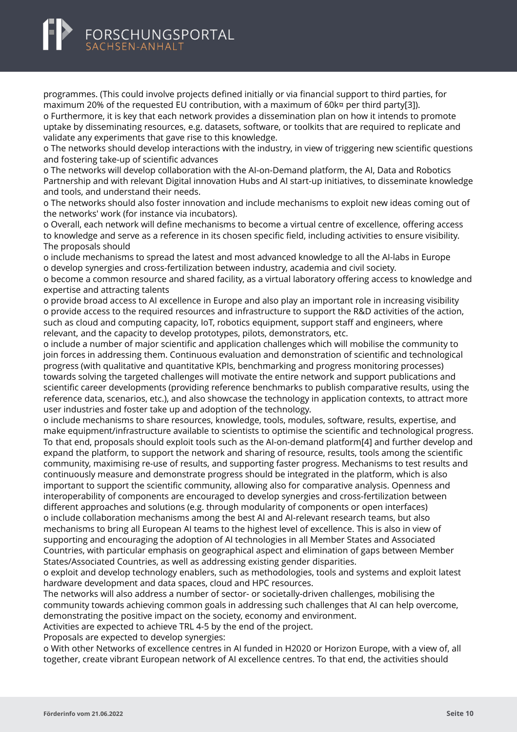# FORSCHUNGSPORTAL

programmes. (This could involve projects defined initially or via financial support to third parties, for maximum 20% of the requested EU contribution, with a maximum of 60k¤ per third party[3]). o Furthermore, it is key that each network provides a dissemination plan on how it intends to promote uptake by disseminating resources, e.g. datasets, software, or toolkits that are required to replicate and

validate any experiments that gave rise to this knowledge.

o The networks should develop interactions with the industry, in view of triggering new scientific questions and fostering take-up of scientific advances

o The networks will develop collaboration with the AI-on-Demand platform, the AI, Data and Robotics Partnership and with relevant Digital innovation Hubs and AI start-up initiatives, to disseminate knowledge and tools, and understand their needs.

o The networks should also foster innovation and include mechanisms to exploit new ideas coming out of the networks' work (for instance via incubators).

o Overall, each network will define mechanisms to become a virtual centre of excellence, offering access to knowledge and serve as a reference in its chosen specific field, including activities to ensure visibility. The proposals should

o include mechanisms to spread the latest and most advanced knowledge to all the AI-labs in Europe o develop synergies and cross-fertilization between industry, academia and civil society.

o become a common resource and shared facility, as a virtual laboratory offering access to knowledge and expertise and attracting talents

o provide broad access to AI excellence in Europe and also play an important role in increasing visibility o provide access to the required resources and infrastructure to support the R&D activities of the action, such as cloud and computing capacity, IoT, robotics equipment, support staff and engineers, where relevant, and the capacity to develop prototypes, pilots, demonstrators, etc.

o include a number of major scientific and application challenges which will mobilise the community to join forces in addressing them. Continuous evaluation and demonstration of scientific and technological progress (with qualitative and quantitative KPIs, benchmarking and progress monitoring processes) towards solving the targeted challenges will motivate the entire network and support publications and scientific career developments (providing reference benchmarks to publish comparative results, using the reference data, scenarios, etc.), and also showcase the technology in application contexts, to attract more user industries and foster take up and adoption of the technology.

o include mechanisms to share resources, knowledge, tools, modules, software, results, expertise, and make equipment/infrastructure available to scientists to optimise the scientific and technological progress. To that end, proposals should exploit tools such as the AI-on-demand platform[4] and further develop and expand the platform, to support the network and sharing of resource, results, tools among the scientific community, maximising re-use of results, and supporting faster progress. Mechanisms to test results and continuously measure and demonstrate progress should be integrated in the platform, which is also important to support the scientific community, allowing also for comparative analysis. Openness and interoperability of components are encouraged to develop synergies and cross-fertilization between different approaches and solutions (e.g. through modularity of components or open interfaces) o include collaboration mechanisms among the best AI and AI-relevant research teams, but also mechanisms to bring all European AI teams to the highest level of excellence. This is also in view of supporting and encouraging the adoption of AI technologies in all Member States and Associated Countries, with particular emphasis on geographical aspect and elimination of gaps between Member States/Associated Countries, as well as addressing existing gender disparities.

o exploit and develop technology enablers, such as methodologies, tools and systems and exploit latest hardware development and data spaces, cloud and HPC resources.

The networks will also address a number of sector- or societally-driven challenges, mobilising the community towards achieving common goals in addressing such challenges that AI can help overcome, demonstrating the positive impact on the society, economy and environment.

Activities are expected to achieve TRL 4-5 by the end of the project.

Proposals are expected to develop synergies:

o With other Networks of excellence centres in AI funded in H2020 or Horizon Europe, with a view of, all together, create vibrant European network of AI excellence centres. To that end, the activities should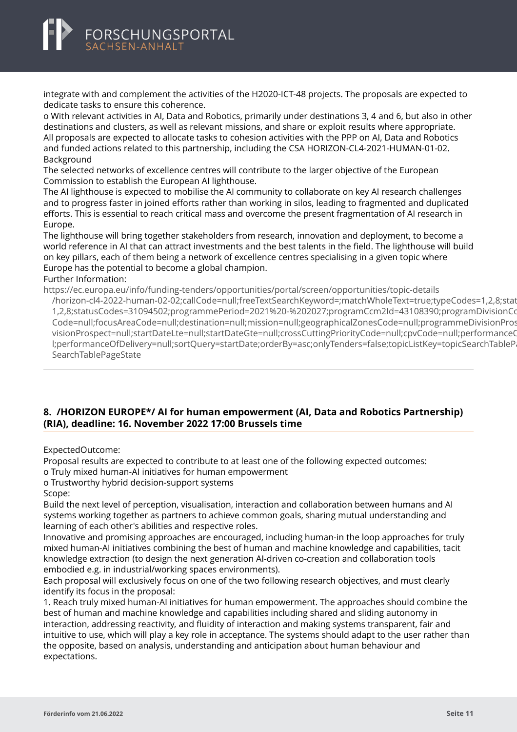<span id="page-11-0"></span>integrate with and complement the activities of the H2020-ICT-48 projects. The proposals are expected to dedicate tasks to ensure this coherence.

o With relevant activities in AI, Data and Robotics, primarily under destinations 3, 4 and 6, but also in other destinations and clusters, as well as relevant missions, and share or exploit results where appropriate. All proposals are expected to allocate tasks to cohesion activities with the PPP on AI, Data and Robotics and funded actions related to this partnership, including the CSA HORIZON-CL4-2021-HUMAN-01-02. Background

The selected networks of excellence centres will contribute to the larger objective of the European Commission to establish the European AI lighthouse.

The AI lighthouse is expected to mobilise the AI community to collaborate on key AI research challenges and to progress faster in joined efforts rather than working in silos, leading to fragmented and duplicated efforts. This is essential to reach critical mass and overcome the present fragmentation of AI research in Europe.

The lighthouse will bring together stakeholders from research, innovation and deployment, to become a world reference in AI that can attract investments and the best talents in the field. The lighthouse will build on key pillars, each of them being a network of excellence centres specialising in a given topic where Europe has the potential to become a global champion.

#### Further Information:

https://ec.europa.eu/info/funding-tenders/opportunities/portal/screen/opportunities/topic-details

[/horizon-cl4-2022-human-02-02;callCode=null;freeTextSearchKeyword=;matchWholeText=true;typeCodes](https://ec.europa.eu/info/funding-tenders/opportunities/portal/screen/opportunities/topic-details/horizon-cl4-2022-human-02-02;callCode=null;freeTextSearchKeyword=;matchWholeText=true;typeCodes=1,2,8;statusCodes=31094502;programmePeriod=2021%20-%202027;programCcm2Id=43108390;programDivisionCode=null;focusAreaCode=null;destination=null;mission=null;geographicalZonesCode=null;programmeDivisionProspect=null;startDateLte=null;startDateGte=null;crossCuttingPriorityCode=null;cpvCode=null;performanceOfDelivery=null;sortQuery=startDate;orderBy=asc;onlyTenders=false;topicListKey=topicSearchTablePageState)=1,2,8;stat 1,2,8;statusCodes=31094502;programmePeriod=2021%20-%202027;programCcm2ld=43108390;programDivisionCo Code=null:focusAreaCode=null:destination=null:mission=null:geographicalZonesCode=null:programmeDivisionPros visionProspect=null;startDateLte=null;startDateGte=null;crossCuttingPriorityCode=null;cpvCode=null;performanceC l;performanceOfDelivery=null;sortQuery=startDate;orderBy=asc;onlyTenders=false;topicListKey=topicSearchTableP SearchTablePageState

#### **8. /HORIZON EUROPE\*/ AI for human empowerment (AI, Data and Robotics Partnership) (RIA), deadline: 16. November 2022 17:00 Brussels time**

ExpectedOutcome:

Proposal results are expected to contribute to at least one of the following expected outcomes:

- o Truly mixed human-AI initiatives for human empowerment
- o Trustworthy hybrid decision-support systems

Scope:

Build the next level of perception, visualisation, interaction and collaboration between humans and AI systems working together as partners to achieve common goals, sharing mutual understanding and learning of each other's abilities and respective roles.

Innovative and promising approaches are encouraged, including human-in the loop approaches for truly mixed human-AI initiatives combining the best of human and machine knowledge and capabilities, tacit knowledge extraction (to design the next generation AI-driven co-creation and collaboration tools embodied e.g. in industrial/working spaces environments).

Each proposal will exclusively focus on one of the two following research objectives, and must clearly identify its focus in the proposal:

1. Reach truly mixed human-AI initiatives for human empowerment. The approaches should combine the best of human and machine knowledge and capabilities including shared and sliding autonomy in interaction, addressing reactivity, and fluidity of interaction and making systems transparent, fair and intuitive to use, which will play a key role in acceptance. The systems should adapt to the user rather than the opposite, based on analysis, understanding and anticipation about human behaviour and expectations.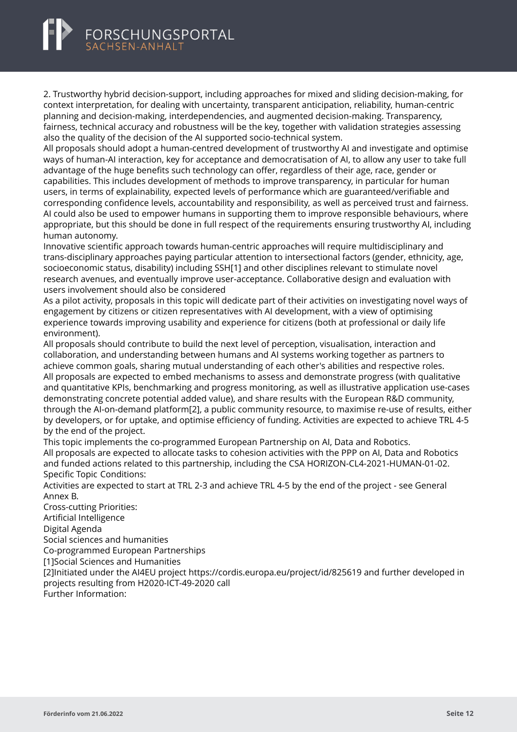# FORSCHUNGSPORTAL

2. Trustworthy hybrid decision-support, including approaches for mixed and sliding decision-making, for context interpretation, for dealing with uncertainty, transparent anticipation, reliability, human-centric planning and decision-making, interdependencies, and augmented decision-making. Transparency, fairness, technical accuracy and robustness will be the key, together with validation strategies assessing also the quality of the decision of the AI supported socio-technical system.

All proposals should adopt a human-centred development of trustworthy AI and investigate and optimise ways of human-AI interaction, key for acceptance and democratisation of AI, to allow any user to take full advantage of the huge benefits such technology can offer, regardless of their age, race, gender or capabilities. This includes development of methods to improve transparency, in particular for human users, in terms of explainability, expected levels of performance which are guaranteed/verifiable and corresponding confidence levels, accountability and responsibility, as well as perceived trust and fairness. AI could also be used to empower humans in supporting them to improve responsible behaviours, where appropriate, but this should be done in full respect of the requirements ensuring trustworthy AI, including human autonomy.

Innovative scientific approach towards human-centric approaches will require multidisciplinary and trans-disciplinary approaches paying particular attention to intersectional factors (gender, ethnicity, age, socioeconomic status, disability) including SSH[1] and other disciplines relevant to stimulate novel research avenues, and eventually improve user-acceptance. Collaborative design and evaluation with users involvement should also be considered

As a pilot activity, proposals in this topic will dedicate part of their activities on investigating novel ways of engagement by citizens or citizen representatives with AI development, with a view of optimising experience towards improving usability and experience for citizens (both at professional or daily life environment).

All proposals should contribute to build the next level of perception, visualisation, interaction and collaboration, and understanding between humans and AI systems working together as partners to achieve common goals, sharing mutual understanding of each other's abilities and respective roles. All proposals are expected to embed mechanisms to assess and demonstrate progress (with qualitative and quantitative KPIs, benchmarking and progress monitoring, as well as illustrative application use-cases demonstrating concrete potential added value), and share results with the European R&D community, through the AI-on-demand platform[2], a public community resource, to maximise re-use of results, either by developers, or for uptake, and optimise efficiency of funding. Activities are expected to achieve TRL 4-5 by the end of the project.

This topic implements the co-programmed European Partnership on AI, Data and Robotics. All proposals are expected to allocate tasks to cohesion activities with the PPP on AI, Data and Robotics and funded actions related to this partnership, including the CSA HORIZON-CL4-2021-HUMAN-01-02. Specific Topic Conditions:

Activities are expected to start at TRL 2-3 and achieve TRL 4-5 by the end of the project - see General Annex B.

Cross-cutting Priorities: Artificial Intelligence Digital Agenda Social sciences and humanities Co-programmed European Partnerships [1]Social Sciences and Humanities [2]Initiated under the AI4EU project https://cordis.europa.eu/project/id/825619 and further developed in projects resulting from H2020-ICT-49-2020 call Further Information: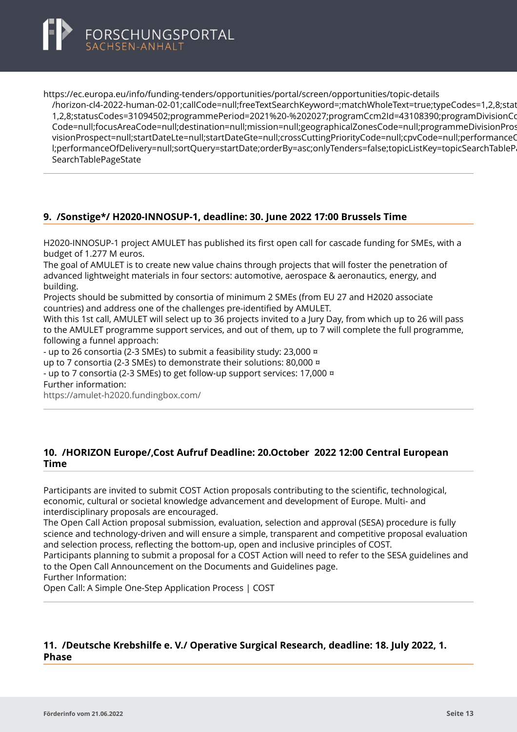<span id="page-13-0"></span>

https://ec.europa.eu/info/funding-tenders/opportunities/portal/screen/opportunities/topic-details

[/horizon-cl4-2022-human-02-01;callCode=null;freeTextSearchKeyword=;matchWholeText=true;typeCodes](https://ec.europa.eu/info/funding-tenders/opportunities/portal/screen/opportunities/topic-details/horizon-cl4-2022-human-02-01;callCode=null;freeTextSearchKeyword=;matchWholeText=true;typeCodes=1,2,8;statusCodes=31094502;programmePeriod=2021%20-%202027;programCcm2Id=43108390;programDivisionCode=null;focusAreaCode=null;destination=null;mission=null;geographicalZonesCode=null;programmeDivisionProspect=null;startDateLte=null;startDateGte=null;crossCuttingPriorityCode=null;cpvCode=null;performanceOfDelivery=null;sortQuery=startDate;orderBy=asc;onlyTenders=false;topicListKey=topicSearchTablePageState)=1,2,8;stat 1,2,8;statusCodes=31094502;programmePeriod=2021%20-%202027;programCcm2ld=43108390;programDivisionCo Code=null;focusAreaCode=null;destination=null;mission=null;geographicalZonesCode=null;programmeDivisionPros visionProspect=null;startDateLte=null;startDateGte=null;crossCuttingPriorityCode=null;cpvCode=null;performanceC l;performanceOfDelivery=null;sortQuery=startDate;orderBy=asc;onlyTenders=false;topicListKey=topicSearchTableP SearchTablePageState

#### **9. /Sonstige\*/ H2020-INNOSUP-1, deadline: 30. June 2022 17:00 Brussels Time**

H2020-INNOSUP-1 project AMULET has published its first open call for cascade funding for SMEs, with a budget of 1.277 M euros.

The goal of AMULET is to create new value chains through projects that will foster the penetration of advanced lightweight materials in four sectors: automotive, aerospace & aeronautics, energy, and building.

Projects should be submitted by consortia of minimum 2 SMEs (from EU 27 and H2020 associate countries) and address one of the challenges pre-identified by AMULET.

With this 1st call, AMULET will select up to 36 projects invited to a Jury Day, from which up to 26 will pass to the AMULET programme support services, and out of them, up to 7 will complete the full programme, following a funnel approach:

- up to 26 consortia (2-3 SMEs) to submit a feasibility study: 23,000 ¤

up to 7 consortia (2-3 SMEs) to demonstrate their solutions: 80,000 ¤

- up to 7 consortia (2-3 SMEs) to get follow-up support services: 17,000 ¤ Further information:

<https://amulet-h2020.fundingbox.com/>

## **10. /HORIZON Europe/,Cost Aufruf Deadline: 20.October 2022 12:00 Central European Time**

Participants are invited to submit COST Action proposals contributing to the scientific, technological, economic, cultural or societal knowledge advancement and development of Europe. Multi- and interdisciplinary proposals are encouraged.

The Open Call Action proposal submission, evaluation, selection and approval (SESA) procedure is fully science and technology-driven and will ensure a simple, transparent and competitive proposal evaluation and selection process, reflecting the bottom-up, open and inclusive principles of COST.

Participants planning to submit a proposal for a COST Action will need to refer to the SESA guidelines and to the Open Call Announcement on the Documents and Guidelines page.

Further Information:

Open Call: A Simple One-Step Application Process | COST

# **11. /Deutsche Krebshilfe e. V./ Operative Surgical Research, deadline: 18. July 2022, 1. Phase**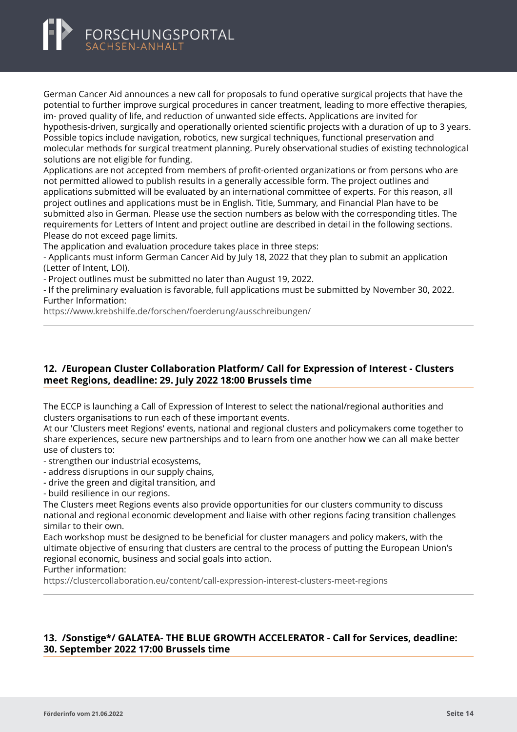<span id="page-14-0"></span>

German Cancer Aid announces a new call for proposals to fund operative surgical projects that have the potential to further improve surgical procedures in cancer treatment, leading to more effective therapies, im- proved quality of life, and reduction of unwanted side effects. Applications are invited for hypothesis-driven, surgically and operationally oriented scientific projects with a duration of up to 3 years. Possible topics include navigation, robotics, new surgical techniques, functional preservation and molecular methods for surgical treatment planning. Purely observational studies of existing technological solutions are not eligible for funding.

Applications are not accepted from members of profit-oriented organizations or from persons who are not permitted allowed to publish results in a generally accessible form. The project outlines and applications submitted will be evaluated by an international committee of experts. For this reason, all project outlines and applications must be in English. Title, Summary, and Financial Plan have to be submitted also in German. Please use the section numbers as below with the corresponding titles. The requirements for Letters of Intent and project outline are described in detail in the following sections. Please do not exceed page limits.

The application and evaluation procedure takes place in three steps:

- Applicants must inform German Cancer Aid by July 18, 2022 that they plan to submit an application (Letter of Intent, LOI).

- Project outlines must be submitted no later than August 19, 2022.

- If the preliminary evaluation is favorable, full applications must be submitted by November 30, 2022. Further Information:

<https://www.krebshilfe.de/forschen/foerderung/ausschreibungen/>

#### **12. /European Cluster Collaboration Platform/ Call for Expression of Interest - Clusters meet Regions, deadline: 29. July 2022 18:00 Brussels time**

The ECCP is launching a Call of Expression of Interest to select the national/regional authorities and clusters organisations to run each of these important events.

At our 'Clusters meet Regions' events, national and regional clusters and policymakers come together to share experiences, secure new partnerships and to learn from one another how we can all make better use of clusters to:

- strengthen our industrial ecosystems,

- address disruptions in our supply chains,
- drive the green and digital transition, and

- build resilience in our regions.

The Clusters meet Regions events also provide opportunities for our clusters community to discuss national and regional economic development and liaise with other regions facing transition challenges similar to their own.

Each workshop must be designed to be beneficial for cluster managers and policy makers, with the ultimate objective of ensuring that clusters are central to the process of putting the European Union's regional economic, business and social goals into action.

Further information:

<https://clustercollaboration.eu/content/call-expression-interest-clusters-meet-regions>

#### **13. /Sonstige\*/ GALATEA- THE BLUE GROWTH ACCELERATOR - Call for Services, deadline: 30. September 2022 17:00 Brussels time**